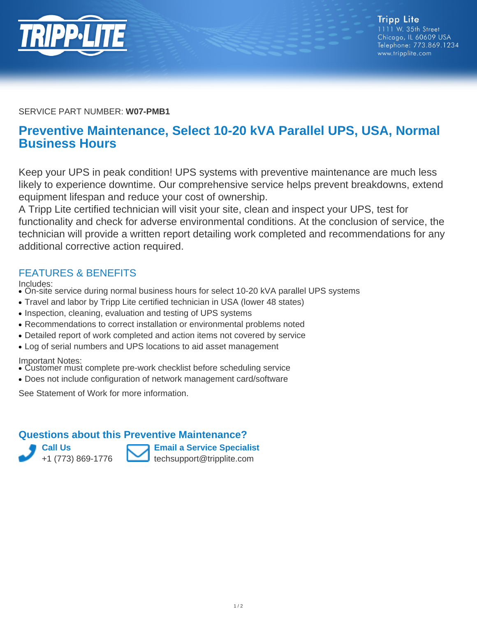

SERVICE PART NUMBER: **W07-PMB1**

## **Preventive Maintenance, Select 10-20 kVA Parallel UPS, USA, Normal Business Hours**

Keep your UPS in peak condition! UPS systems with preventive maintenance are much less likely to experience downtime. Our comprehensive service helps prevent breakdowns, extend equipment lifespan and reduce your cost of ownership.

A Tripp Lite certified technician will visit your site, clean and inspect your UPS, test for functionality and check for adverse environmental conditions. At the conclusion of service, the technician will provide a written report detailing work completed and recommendations for any additional corrective action required.

## FEATURES & BENEFITS

Includes:

- On-site service during normal business hours for select 10-20 kVA parallel UPS systems
- Travel and labor by Tripp Lite certified technician in USA (lower 48 states)
- Inspection, cleaning, evaluation and testing of UPS systems
- Recommendations to correct installation or environmental problems noted
- Detailed report of work completed and action items not covered by service
- Log of serial numbers and UPS locations to aid asset management

Important Notes:

- Customer must complete pre-work checklist before scheduling service
- Does not include configuration of network management card/software

See Statement of Work for more information.

## **Questions about this Preventive Maintenance?**



**Email a Service Specialist** techsupport@tripplite.com